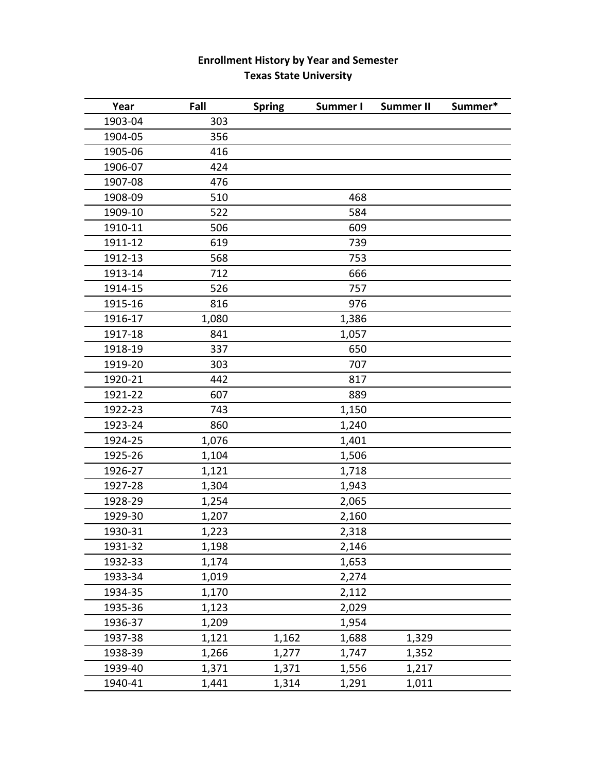## **Enrollment History by Year and Semester Texas State University**

| Year    | Fall  | <b>Spring</b> | Summer I | <b>Summer II</b> | Summer* |
|---------|-------|---------------|----------|------------------|---------|
| 1903-04 | 303   |               |          |                  |         |
| 1904-05 | 356   |               |          |                  |         |
| 1905-06 | 416   |               |          |                  |         |
| 1906-07 | 424   |               |          |                  |         |
| 1907-08 | 476   |               |          |                  |         |
| 1908-09 | 510   |               | 468      |                  |         |
| 1909-10 | 522   |               | 584      |                  |         |
| 1910-11 | 506   |               | 609      |                  |         |
| 1911-12 | 619   |               | 739      |                  |         |
| 1912-13 | 568   |               | 753      |                  |         |
| 1913-14 | 712   |               | 666      |                  |         |
| 1914-15 | 526   |               | 757      |                  |         |
| 1915-16 | 816   |               | 976      |                  |         |
| 1916-17 | 1,080 |               | 1,386    |                  |         |
| 1917-18 | 841   |               | 1,057    |                  |         |
| 1918-19 | 337   |               | 650      |                  |         |
| 1919-20 | 303   |               | 707      |                  |         |
| 1920-21 | 442   |               | 817      |                  |         |
| 1921-22 | 607   |               | 889      |                  |         |
| 1922-23 | 743   |               | 1,150    |                  |         |
| 1923-24 | 860   |               | 1,240    |                  |         |
| 1924-25 | 1,076 |               | 1,401    |                  |         |
| 1925-26 | 1,104 |               | 1,506    |                  |         |
| 1926-27 | 1,121 |               | 1,718    |                  |         |
| 1927-28 | 1,304 |               | 1,943    |                  |         |
| 1928-29 | 1,254 |               | 2,065    |                  |         |
| 1929-30 | 1,207 |               | 2,160    |                  |         |
| 1930-31 | 1,223 |               | 2,318    |                  |         |
| 1931-32 | 1,198 |               | 2,146    |                  |         |
| 1932-33 | 1,174 |               | 1,653    |                  |         |
| 1933-34 | 1,019 |               | 2,274    |                  |         |
| 1934-35 | 1,170 |               | 2,112    |                  |         |
| 1935-36 | 1,123 |               | 2,029    |                  |         |
| 1936-37 | 1,209 |               | 1,954    |                  |         |
| 1937-38 | 1,121 | 1,162         | 1,688    | 1,329            |         |
| 1938-39 | 1,266 | 1,277         | 1,747    | 1,352            |         |
| 1939-40 | 1,371 | 1,371         | 1,556    | 1,217            |         |
| 1940-41 | 1,441 | 1,314         | 1,291    | 1,011            |         |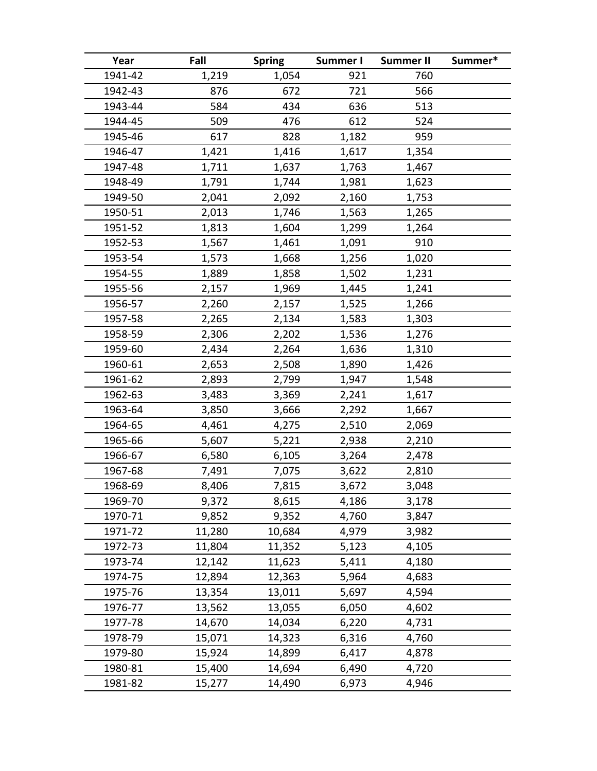| Year    | Fall   | <b>Spring</b> | Summer I | <b>Summer II</b> | Summer* |
|---------|--------|---------------|----------|------------------|---------|
| 1941-42 | 1,219  | 1,054         | 921      | 760              |         |
| 1942-43 | 876    | 672           | 721      | 566              |         |
| 1943-44 | 584    | 434           | 636      | 513              |         |
| 1944-45 | 509    | 476           | 612      | 524              |         |
| 1945-46 | 617    | 828           | 1,182    | 959              |         |
| 1946-47 | 1,421  | 1,416         | 1,617    | 1,354            |         |
| 1947-48 | 1,711  | 1,637         | 1,763    | 1,467            |         |
| 1948-49 | 1,791  | 1,744         | 1,981    | 1,623            |         |
| 1949-50 | 2,041  | 2,092         | 2,160    | 1,753            |         |
| 1950-51 | 2,013  | 1,746         | 1,563    | 1,265            |         |
| 1951-52 | 1,813  | 1,604         | 1,299    | 1,264            |         |
| 1952-53 | 1,567  | 1,461         | 1,091    | 910              |         |
| 1953-54 | 1,573  | 1,668         | 1,256    | 1,020            |         |
| 1954-55 | 1,889  | 1,858         | 1,502    | 1,231            |         |
| 1955-56 | 2,157  | 1,969         | 1,445    | 1,241            |         |
| 1956-57 | 2,260  | 2,157         | 1,525    | 1,266            |         |
| 1957-58 | 2,265  | 2,134         | 1,583    | 1,303            |         |
| 1958-59 | 2,306  | 2,202         | 1,536    | 1,276            |         |
| 1959-60 | 2,434  | 2,264         | 1,636    | 1,310            |         |
| 1960-61 | 2,653  | 2,508         | 1,890    | 1,426            |         |
| 1961-62 | 2,893  | 2,799         | 1,947    | 1,548            |         |
| 1962-63 | 3,483  | 3,369         | 2,241    | 1,617            |         |
| 1963-64 | 3,850  | 3,666         | 2,292    | 1,667            |         |
| 1964-65 | 4,461  | 4,275         | 2,510    | 2,069            |         |
| 1965-66 | 5,607  | 5,221         | 2,938    | 2,210            |         |
| 1966-67 | 6,580  | 6,105         | 3,264    | 2,478            |         |
| 1967-68 | 7,491  | 7,075         | 3,622    | 2,810            |         |
| 1968-69 | 8,406  | 7,815         | 3,672    | 3,048            |         |
| 1969-70 | 9,372  | 8,615         | 4,186    | 3,178            |         |
| 1970-71 | 9,852  | 9,352         | 4,760    | 3,847            |         |
| 1971-72 | 11,280 | 10,684        | 4,979    | 3,982            |         |
| 1972-73 | 11,804 | 11,352        | 5,123    | 4,105            |         |
| 1973-74 | 12,142 | 11,623        | 5,411    | 4,180            |         |
| 1974-75 | 12,894 | 12,363        | 5,964    | 4,683            |         |
| 1975-76 | 13,354 | 13,011        | 5,697    | 4,594            |         |
| 1976-77 | 13,562 | 13,055        | 6,050    | 4,602            |         |
| 1977-78 | 14,670 | 14,034        | 6,220    | 4,731            |         |
| 1978-79 | 15,071 | 14,323        | 6,316    | 4,760            |         |
| 1979-80 | 15,924 | 14,899        | 6,417    | 4,878            |         |
| 1980-81 | 15,400 | 14,694        | 6,490    | 4,720            |         |
| 1981-82 | 15,277 | 14,490        | 6,973    | 4,946            |         |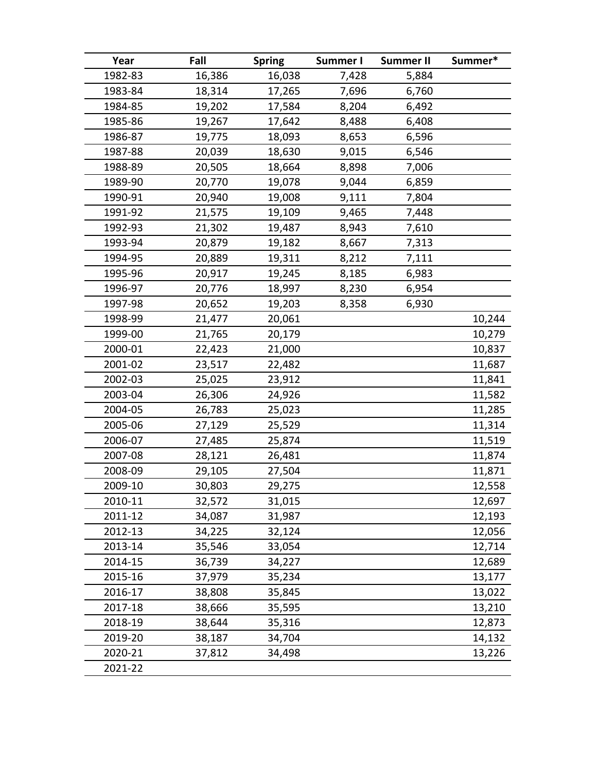| Year    | Fall   | <b>Spring</b> | Summer I | <b>Summer II</b> | Summer* |
|---------|--------|---------------|----------|------------------|---------|
| 1982-83 | 16,386 | 16,038        | 7,428    | 5,884            |         |
| 1983-84 | 18,314 | 17,265        | 7,696    | 6,760            |         |
| 1984-85 | 19,202 | 17,584        | 8,204    | 6,492            |         |
| 1985-86 | 19,267 | 17,642        | 8,488    | 6,408            |         |
| 1986-87 | 19,775 | 18,093        | 8,653    | 6,596            |         |
| 1987-88 | 20,039 | 18,630        | 9,015    | 6,546            |         |
| 1988-89 | 20,505 | 18,664        | 8,898    | 7,006            |         |
| 1989-90 | 20,770 | 19,078        | 9,044    | 6,859            |         |
| 1990-91 | 20,940 | 19,008        | 9,111    | 7,804            |         |
| 1991-92 | 21,575 | 19,109        | 9,465    | 7,448            |         |
| 1992-93 | 21,302 | 19,487        | 8,943    | 7,610            |         |
| 1993-94 | 20,879 | 19,182        | 8,667    | 7,313            |         |
| 1994-95 | 20,889 | 19,311        | 8,212    | 7,111            |         |
| 1995-96 | 20,917 | 19,245        | 8,185    | 6,983            |         |
| 1996-97 | 20,776 | 18,997        | 8,230    | 6,954            |         |
| 1997-98 | 20,652 | 19,203        | 8,358    | 6,930            |         |
| 1998-99 | 21,477 | 20,061        |          |                  | 10,244  |
| 1999-00 | 21,765 | 20,179        |          |                  | 10,279  |
| 2000-01 | 22,423 | 21,000        |          |                  | 10,837  |
| 2001-02 | 23,517 | 22,482        |          |                  | 11,687  |
| 2002-03 | 25,025 | 23,912        |          |                  | 11,841  |
| 2003-04 | 26,306 | 24,926        |          |                  | 11,582  |
| 2004-05 | 26,783 | 25,023        |          |                  | 11,285  |
| 2005-06 | 27,129 | 25,529        |          |                  | 11,314  |
| 2006-07 | 27,485 | 25,874        |          |                  | 11,519  |
| 2007-08 | 28,121 | 26,481        |          |                  | 11,874  |
| 2008-09 | 29,105 | 27,504        |          |                  | 11,871  |
| 2009-10 | 30,803 | 29,275        |          |                  | 12,558  |
| 2010-11 | 32,572 | 31,015        |          |                  | 12,697  |
| 2011-12 | 34,087 | 31,987        |          |                  | 12,193  |
| 2012-13 | 34,225 | 32,124        |          |                  | 12,056  |
| 2013-14 | 35,546 | 33,054        |          |                  | 12,714  |
| 2014-15 | 36,739 | 34,227        |          |                  | 12,689  |
| 2015-16 | 37,979 | 35,234        |          |                  | 13,177  |
| 2016-17 | 38,808 | 35,845        |          |                  | 13,022  |
| 2017-18 | 38,666 | 35,595        |          |                  | 13,210  |
| 2018-19 | 38,644 | 35,316        |          |                  | 12,873  |
| 2019-20 | 38,187 | 34,704        |          |                  | 14,132  |
| 2020-21 | 37,812 | 34,498        |          |                  | 13,226  |
| 2021-22 |        |               |          |                  |         |